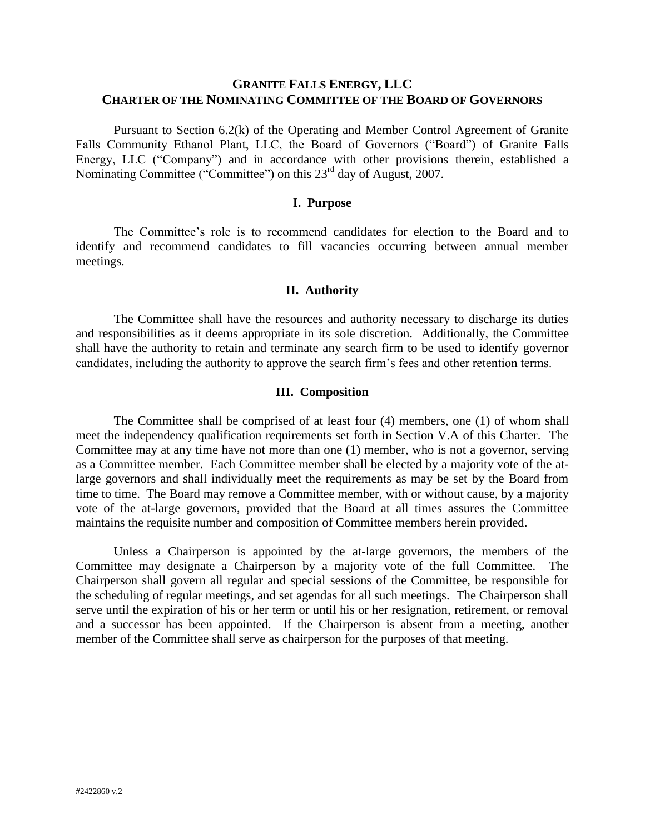# **GRANITE FALLS ENERGY, LLC CHARTER OF THE NOMINATING COMMITTEE OF THE BOARD OF GOVERNORS**

Pursuant to Section 6.2(k) of the Operating and Member Control Agreement of Granite Falls Community Ethanol Plant, LLC, the Board of Governors ("Board") of Granite Falls Energy, LLC ("Company") and in accordance with other provisions therein, established a Nominating Committee ("Committee") on this 23<sup>rd</sup> day of August, 2007.

# **I. Purpose**

The Committee's role is to recommend candidates for election to the Board and to identify and recommend candidates to fill vacancies occurring between annual member meetings.

#### **II. Authority**

The Committee shall have the resources and authority necessary to discharge its duties and responsibilities as it deems appropriate in its sole discretion. Additionally, the Committee shall have the authority to retain and terminate any search firm to be used to identify governor candidates, including the authority to approve the search firm's fees and other retention terms.

#### **III. Composition**

The Committee shall be comprised of at least four (4) members, one (1) of whom shall meet the independency qualification requirements set forth in Section V.A of this Charter. The Committee may at any time have not more than one (1) member, who is not a governor, serving as a Committee member. Each Committee member shall be elected by a majority vote of the atlarge governors and shall individually meet the requirements as may be set by the Board from time to time. The Board may remove a Committee member, with or without cause, by a majority vote of the at-large governors, provided that the Board at all times assures the Committee maintains the requisite number and composition of Committee members herein provided.

Unless a Chairperson is appointed by the at-large governors, the members of the Committee may designate a Chairperson by a majority vote of the full Committee. The Chairperson shall govern all regular and special sessions of the Committee, be responsible for the scheduling of regular meetings, and set agendas for all such meetings. The Chairperson shall serve until the expiration of his or her term or until his or her resignation, retirement, or removal and a successor has been appointed. If the Chairperson is absent from a meeting, another member of the Committee shall serve as chairperson for the purposes of that meeting.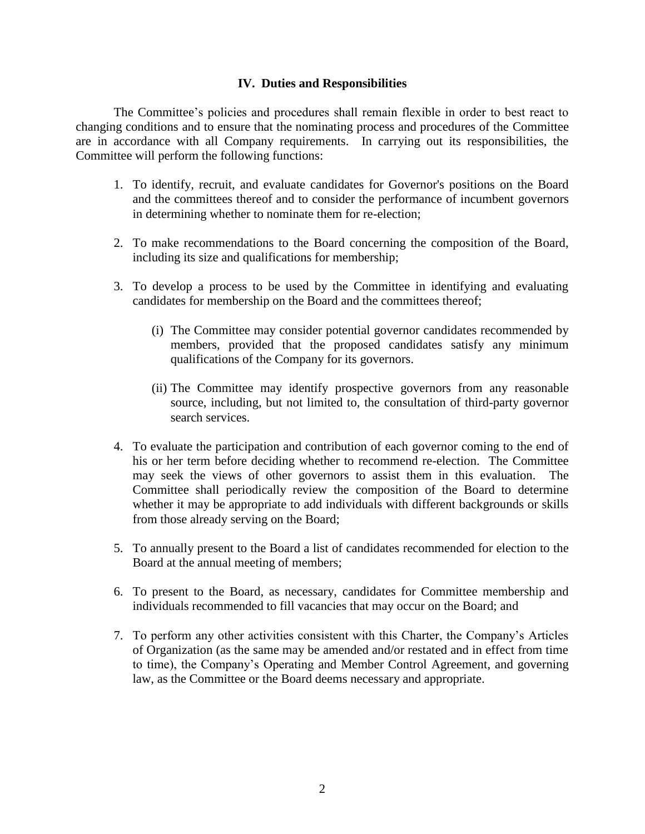#### **IV. Duties and Responsibilities**

The Committee's policies and procedures shall remain flexible in order to best react to changing conditions and to ensure that the nominating process and procedures of the Committee are in accordance with all Company requirements. In carrying out its responsibilities, the Committee will perform the following functions:

- 1. To identify, recruit, and evaluate candidates for Governor's positions on the Board and the committees thereof and to consider the performance of incumbent governors in determining whether to nominate them for re-election;
- 2. To make recommendations to the Board concerning the composition of the Board, including its size and qualifications for membership;
- 3. To develop a process to be used by the Committee in identifying and evaluating candidates for membership on the Board and the committees thereof;
	- (i) The Committee may consider potential governor candidates recommended by members, provided that the proposed candidates satisfy any minimum qualifications of the Company for its governors.
	- (ii) The Committee may identify prospective governors from any reasonable source, including, but not limited to, the consultation of third-party governor search services.
- 4. To evaluate the participation and contribution of each governor coming to the end of his or her term before deciding whether to recommend re-election. The Committee may seek the views of other governors to assist them in this evaluation. The Committee shall periodically review the composition of the Board to determine whether it may be appropriate to add individuals with different backgrounds or skills from those already serving on the Board;
- 5. To annually present to the Board a list of candidates recommended for election to the Board at the annual meeting of members;
- 6. To present to the Board, as necessary, candidates for Committee membership and individuals recommended to fill vacancies that may occur on the Board; and
- 7. To perform any other activities consistent with this Charter, the Company's Articles of Organization (as the same may be amended and/or restated and in effect from time to time), the Company's Operating and Member Control Agreement, and governing law, as the Committee or the Board deems necessary and appropriate.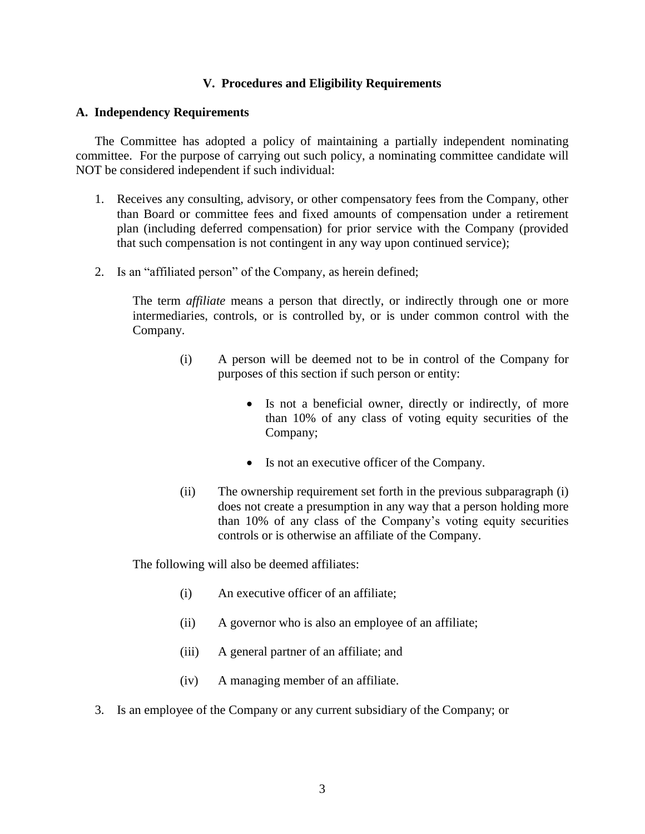# **V. Procedures and Eligibility Requirements**

### **A. Independency Requirements**

The Committee has adopted a policy of maintaining a partially independent nominating committee. For the purpose of carrying out such policy, a nominating committee candidate will NOT be considered independent if such individual:

- 1. Receives any consulting, advisory, or other compensatory fees from the Company, other than Board or committee fees and fixed amounts of compensation under a retirement plan (including deferred compensation) for prior service with the Company (provided that such compensation is not contingent in any way upon continued service);
- 2. Is an "affiliated person" of the Company, as herein defined;

The term *affiliate* means a person that directly, or indirectly through one or more intermediaries, controls, or is controlled by, or is under common control with the Company.

- (i) A person will be deemed not to be in control of the Company for purposes of this section if such person or entity:
	- Is not a beneficial owner, directly or indirectly, of more than 10% of any class of voting equity securities of the Company;
	- Is not an executive officer of the Company.
- (ii) The ownership requirement set forth in the previous subparagraph (i) does not create a presumption in any way that a person holding more than 10% of any class of the Company's voting equity securities controls or is otherwise an affiliate of the Company.

The following will also be deemed affiliates:

- (i) An executive officer of an affiliate;
- (ii) A governor who is also an employee of an affiliate;
- (iii) A general partner of an affiliate; and
- (iv) A managing member of an affiliate.
- 3. Is an employee of the Company or any current subsidiary of the Company; or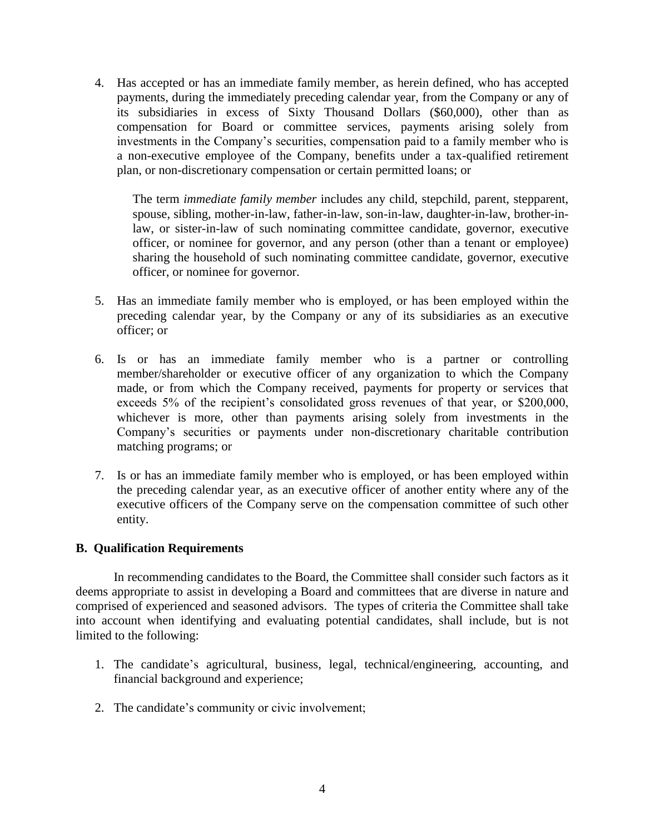4. Has accepted or has an immediate family member, as herein defined, who has accepted payments, during the immediately preceding calendar year, from the Company or any of its subsidiaries in excess of Sixty Thousand Dollars (\$60,000), other than as compensation for Board or committee services, payments arising solely from investments in the Company's securities, compensation paid to a family member who is a non-executive employee of the Company, benefits under a tax-qualified retirement plan, or non-discretionary compensation or certain permitted loans; or

The term *immediate family member* includes any child, stepchild, parent, stepparent, spouse, sibling, mother-in-law, father-in-law, son-in-law, daughter-in-law, brother-inlaw, or sister-in-law of such nominating committee candidate, governor, executive officer, or nominee for governor, and any person (other than a tenant or employee) sharing the household of such nominating committee candidate, governor, executive officer, or nominee for governor.

- 5. Has an immediate family member who is employed, or has been employed within the preceding calendar year, by the Company or any of its subsidiaries as an executive officer; or
- 6. Is or has an immediate family member who is a partner or controlling member/shareholder or executive officer of any organization to which the Company made, or from which the Company received, payments for property or services that exceeds 5% of the recipient's consolidated gross revenues of that year, or \$200,000, whichever is more, other than payments arising solely from investments in the Company's securities or payments under non-discretionary charitable contribution matching programs; or
- 7. Is or has an immediate family member who is employed, or has been employed within the preceding calendar year, as an executive officer of another entity where any of the executive officers of the Company serve on the compensation committee of such other entity.

# **B. Qualification Requirements**

In recommending candidates to the Board, the Committee shall consider such factors as it deems appropriate to assist in developing a Board and committees that are diverse in nature and comprised of experienced and seasoned advisors. The types of criteria the Committee shall take into account when identifying and evaluating potential candidates, shall include, but is not limited to the following:

- 1. The candidate's agricultural, business, legal, technical/engineering, accounting, and financial background and experience;
- 2. The candidate's community or civic involvement;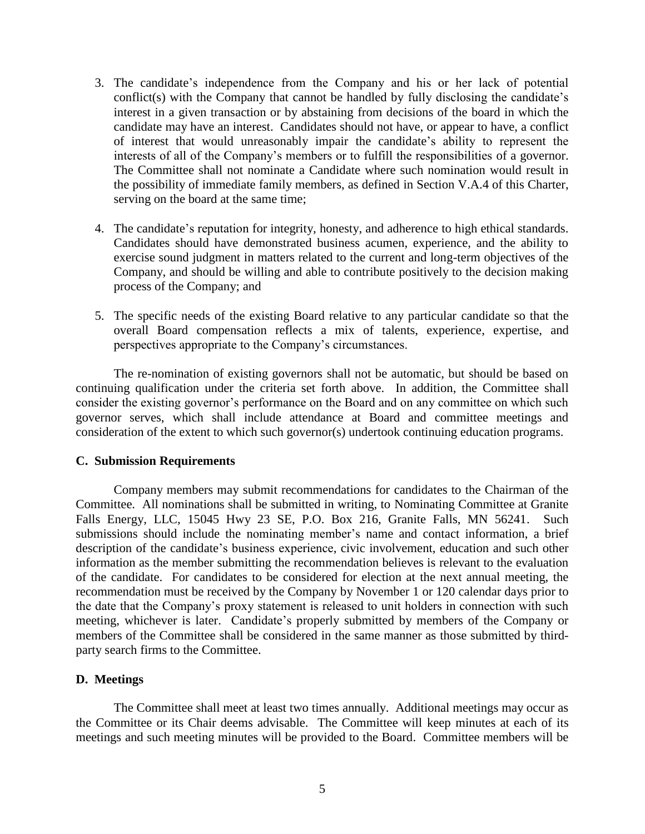- 3. The candidate's independence from the Company and his or her lack of potential conflict(s) with the Company that cannot be handled by fully disclosing the candidate's interest in a given transaction or by abstaining from decisions of the board in which the candidate may have an interest. Candidates should not have, or appear to have, a conflict of interest that would unreasonably impair the candidate's ability to represent the interests of all of the Company's members or to fulfill the responsibilities of a governor. The Committee shall not nominate a Candidate where such nomination would result in the possibility of immediate family members, as defined in Section V.A.4 of this Charter, serving on the board at the same time;
- 4. The candidate's reputation for integrity, honesty, and adherence to high ethical standards. Candidates should have demonstrated business acumen, experience, and the ability to exercise sound judgment in matters related to the current and long-term objectives of the Company, and should be willing and able to contribute positively to the decision making process of the Company; and
- 5. The specific needs of the existing Board relative to any particular candidate so that the overall Board compensation reflects a mix of talents, experience, expertise, and perspectives appropriate to the Company's circumstances.

The re-nomination of existing governors shall not be automatic, but should be based on continuing qualification under the criteria set forth above. In addition, the Committee shall consider the existing governor's performance on the Board and on any committee on which such governor serves, which shall include attendance at Board and committee meetings and consideration of the extent to which such governor(s) undertook continuing education programs.

#### **C. Submission Requirements**

Company members may submit recommendations for candidates to the Chairman of the Committee. All nominations shall be submitted in writing, to Nominating Committee at Granite Falls Energy, LLC, 15045 Hwy 23 SE, P.O. Box 216, Granite Falls, MN 56241. Such submissions should include the nominating member's name and contact information, a brief description of the candidate's business experience, civic involvement, education and such other information as the member submitting the recommendation believes is relevant to the evaluation of the candidate. For candidates to be considered for election at the next annual meeting, the recommendation must be received by the Company by November 1 or 120 calendar days prior to the date that the Company's proxy statement is released to unit holders in connection with such meeting, whichever is later. Candidate's properly submitted by members of the Company or members of the Committee shall be considered in the same manner as those submitted by thirdparty search firms to the Committee.

# **D. Meetings**

The Committee shall meet at least two times annually. Additional meetings may occur as the Committee or its Chair deems advisable. The Committee will keep minutes at each of its meetings and such meeting minutes will be provided to the Board. Committee members will be